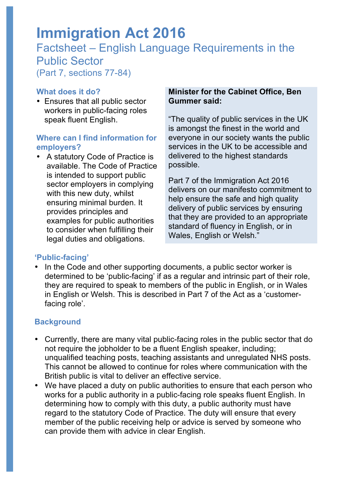# **Immigration Act 2016**

# Factsheet – English Language Requirements in the Public Sector (Part 7, sections 77-84)

#### **What does it do?**

• Ensures that all public sector workers in public-facing roles speak fluent English.

#### **Where can I find information for employers?**

• A statutory Code of Practice is available. The Code of Practice is intended to support public sector employers in complying with this new duty, whilst ensuring minimal burden. It provides principles and examples for public authorities to consider when fulfilling their legal duties and obligations.

#### **Minister for the Cabinet Office, Ben Gummer said:**

"The quality of public services in the UK is amongst the finest in the world and everyone in our society wants the public services in the UK to be accessible and delivered to the highest standards possible.

Part 7 of the Immigration Act 2016 delivers on our manifesto commitment to help ensure the safe and high quality delivery of public services by ensuring that they are provided to an appropriate standard of fluency in English, or in Wales, English or Welsh."

## **'Public-facing'**

• In the Code and other supporting documents, a public sector worker is determined to be 'public-facing' if as a regular and intrinsic part of their role, they are required to speak to members of the public in English, or in Wales in English or Welsh. This is described in Part 7 of the Act as a 'customerfacing role'.

## **Background**

- Currently, there are many vital public-facing roles in the public sector that do not require the jobholder to be a fluent English speaker, including; unqualified teaching posts, teaching assistants and unregulated NHS posts. This cannot be allowed to continue for roles where communication with the British public is vital to deliver an effective service.
- We have placed a duty on public authorities to ensure that each person who works for a public authority in a public-facing role speaks fluent English. In determining how to comply with this duty, a public authority must have regard to the statutory Code of Practice. The duty will ensure that every member of the public receiving help or advice is served by someone who can provide them with advice in clear English.